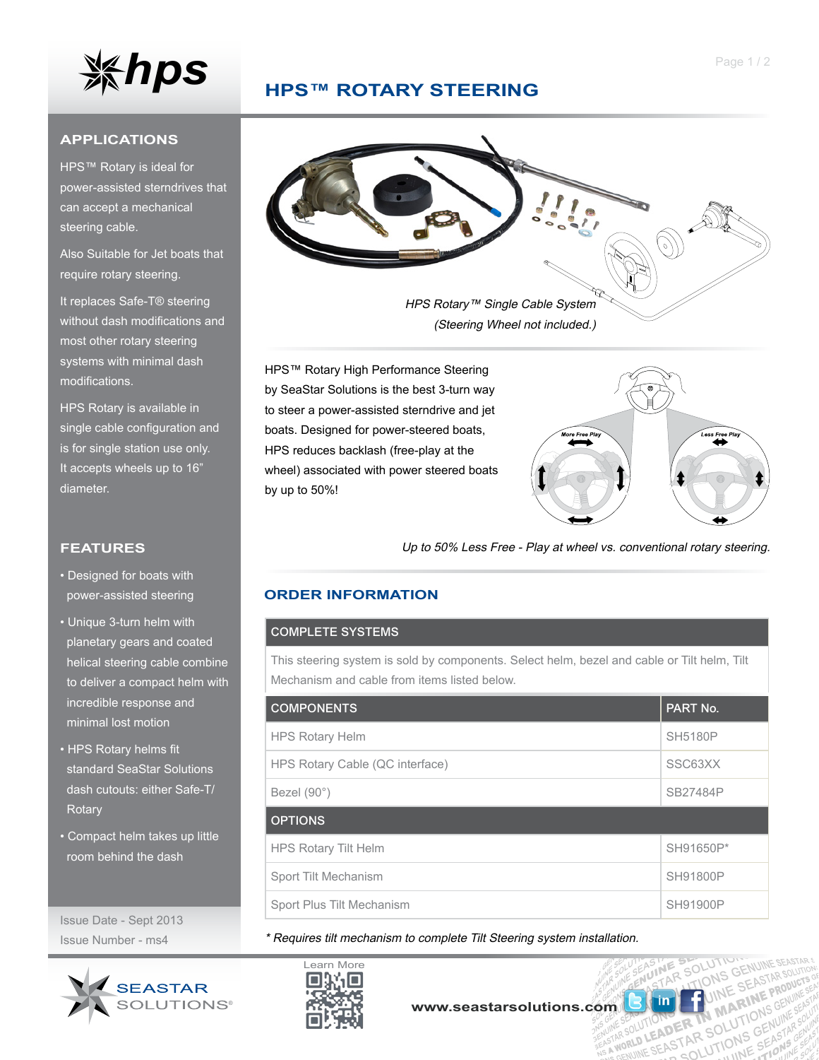

## **HPS™ ROTARY Steering**

### **APPLICATIONS**

HPS™ Rotary is ideal for power-assisted sterndrives that can accept a mechanical steering cable.

Also Suitable for Jet boats that require rotary steering.

It replaces Safe-T® steering without dash modifications and most other rotary steering systems with minimal dash modifications.

HPS Rotary is available in single cable configuration and is for single station use only. It accepts wheels up to 16" diameter.

## **FEATURES**

- Designed for boats with power-assisted steering
- Unique 3-turn helm with planetary gears and coated helical steering cable combine to deliver a compact helm with incredible response and minimal lost motion
- HPS Rotary helms fit standard SeaStar Solutions dash cutouts: either Safe-T/ **Rotary**
- Compact helm takes up little room behind the dash

Issue Date - Sept 2013 Issue Number - ms4





HPS Rotary™ Single Cable System (Steering Wheel not included.)

HPS™ Rotary High Performance Steering by SeaStar Solutions is the best 3-turn way to steer a power-assisted sterndrive and jet boats. Designed for power-steered boats, HPS reduces backlash (free-play at the wheel) associated with power steered boats by up to 50%!



 $\frac{5}{10}$ 

UTION ER TN MARINONS

R MANTIONS GENERATIONS

Up to 50% Less Free - Play at wheel vs. conventional rotary steering.

## **order information**

### COMPLETE SYSTEMS

This steering system is sold by components. Select helm, bezel and cable or Tilt helm, Tilt Mechanism and cable from items listed below.

| <b>COMPONENTS</b>               | <b>PART No.</b> |
|---------------------------------|-----------------|
| <b>HPS Rotary Helm</b>          | <b>SH5180P</b>  |
| HPS Rotary Cable (QC interface) | SSC63XX         |
| Bezel $(90^\circ)$              | SB27484P        |
| <b>OPTIONS</b>                  |                 |
| <b>HPS Rotary Tilt Helm</b>     | SH91650P*       |
| Sport Tilt Mechanism            | SH91800P        |
| Sport Plus Tilt Mechanism       | <b>SH91900P</b> |

\* Requires tilt mechanism to complete Tilt Steering system installation.



**[www.seastarsolutions.com](http://www.seastarsolutions.com)**